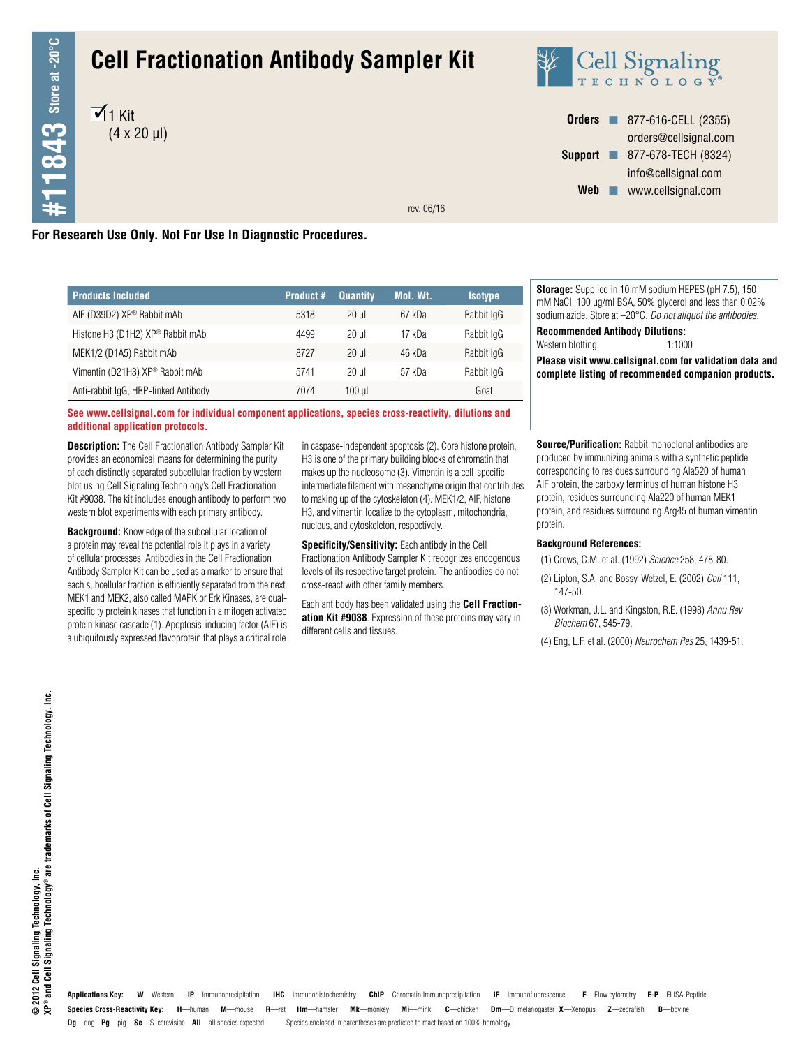# **Cell Fractionation Antibody Sampler Kit**





| <b>Orders</b>  | 877-616-CELL (2355)   |
|----------------|-----------------------|
|                | orders@cellsignal.com |
| <b>Support</b> | 877-678-TECH (8324)   |
|                | info@cellsignal.com   |
| Web            | www.cellsignal.com    |
|                |                       |

rev. 06/16

# **For Research Use Only. Not For Use In Diagnostic Procedures.**

| <b>Products Included</b>                     | <b>Product #</b> | <b>Quantity</b> | Mol. Wt. | <b>Isotype</b> |
|----------------------------------------------|------------------|-----------------|----------|----------------|
| AIF (D39D2) XP® Rabbit mAb                   | 5318             | 20 ul           | 67 kDa   | Rabbit IgG     |
| Histone H3 (D1H2) XP <sup>®</sup> Rabbit mAb | 4499             | 20 ul           | 17 kDa   | Rabbit IgG     |
| MEK1/2 (D1A5) Rabbit mAb                     | 8727             | $20$ ul         | 46 kDa   | Rabbit IgG     |
| Vimentin (D21H3) XP <sup>®</sup> Rabbit mAb  | 5741             | $20$ ul         | 57 kDa   | Rabbit IgG     |
| Anti-rabbit IgG, HRP-linked Antibody         | 7074             | $100$ $\mu$     |          | Goat           |

**See www.cellsignal.com for individual component applications, species cross-reactivity, dilutions and additional application protocols.**

**Description:** The Cell Fractionation Antibody Sampler Kit provides an economical means for determining the purity of each distinctly separated subcellular fraction by western blot using Cell Signaling Technology's Cell Fractionation Kit #9038. The kit includes enough antibody to perform two western blot experiments with each primary antibody.

**Background:** Knowledge of the subcellular location of a protein may reveal the potential role it plays in a variety of cellular processes. Antibodies in the Cell Fractionation Antibody Sampler Kit can be used as a marker to ensure that each subcellular fraction is efficiently separated from the next. MEK1 and MEK2, also called MAPK or Erk Kinases, are dualspecificity protein kinases that function in a mitogen activated protein kinase cascade (1). Apoptosis-inducing factor (AIF) is a ubiquitously expressed flavoprotein that plays a critical role

in caspase-independent apoptosis (2). Core histone protein, H3 is one of the primary building blocks of chromatin that makes up the nucleosome (3). Vimentin is a cell-specific intermediate filament with mesenchyme origin that contributes to making up of the cytoskeleton (4). MEK1/2, AIF, histone H3, and vimentin localize to the cytoplasm, mitochondria, nucleus, and cytoskeleton, respectively.

**Specificity/Sensitivity:** Each antibdy in the Cell Fractionation Antibody Sampler Kit recognizes endogenous levels of its respective target protein. The antibodies do not cross-react with other family members.

Each antibody has been validated using the **Cell Fractionation Kit #9038**. Expression of these proteins may vary in different cells and tissues.

**Storage:** Supplied in 10 mM sodium HEPES (pH 7.5), 150 mM NaCl, 100 µg/ml BSA, 50% glycerol and less than 0.02% sodium azide. Store at –20°C. *Do not aliquot the antibodies.*

**Recommended Antibody Dilutions:**

Western blotting 1:1000

**Please visit www.cellsignal.com for validation data and complete listing of recommended companion products.**

**Source/Purification:** Rabbit monoclonal antibodies are produced by immunizing animals with a synthetic peptide corresponding to residues surrounding Ala520 of human AIF protein, the carboxy terminus of human histone H3 protein, residues surrounding Ala220 of human MEK1 protein, and residues surrounding Arg45 of human vimentin protein.

#### **Background References:**

(1) Crews, C.M. et al. (1992) *Science* 258, 478-80.

- (2) Lipton, S.A. and Bossy-Wetzel, E. (2002) *Cell* 111, 147-50.
- (3) Workman, J.L. and Kingston, R.E. (1998) *Annu Rev Biochem* 67, 545-79.
- (4) Eng, L.F. et al. (2000) *Neurochem Res* 25, 1439-51.